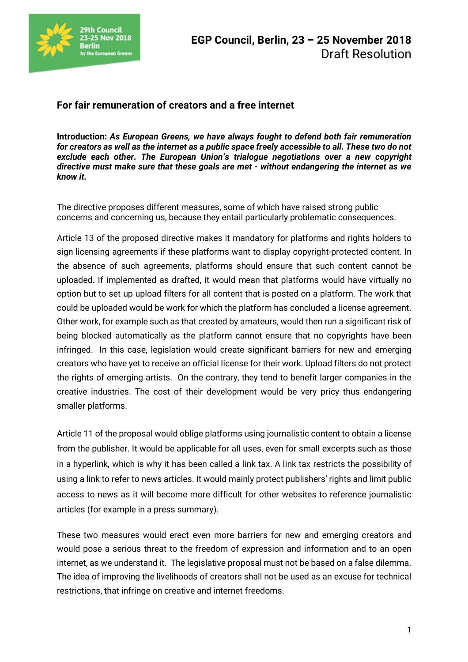

## **For fair remuneration of creators and a free internet**

**Introduction:** *As European Greens, we have always fought to defend both fair remuneration for creators as well as the internet as a public space freely accessible to all. These two do not exclude each other. The European Union's trialogue negotiations over a new copyright directive must make sure that these goals are met - without endangering the internet as we know it.*

The directive proposes different measures, some of which have raised strong public concerns and concerning us, because they entail particularly problematic consequences.

Article 13 of the proposed directive makes it mandatory for platforms and rights holders to sign licensing agreements if these platforms want to display copyright-protected content. In the absence of such agreements, platforms should ensure that such content cannot be uploaded. If implemented as drafted, it would mean that platforms would have virtually no option but to set up upload filters for all content that is posted on a platform. The work that could be uploaded would be work for which the platform has concluded a license agreement. Other work, for example such as that created by amateurs, would then run a significant risk of being blocked automatically as the platform cannot ensure that no copyrights have been infringed. In this case, legislation would create significant barriers for new and emerging creators who have yet to receive an official license for their work. Upload filters do not protect the rights of emerging artists. On the contrary, they tend to benefit larger companies in the creative industries. The cost of their development would be very pricy thus endangering smaller platforms.

Article 11 of the proposal would oblige platforms using journalistic content to obtain a license from the publisher. It would be applicable for all uses, even for small excerpts such as those in a hyperlink, which is why it has been called a link tax. A link tax restricts the possibility of using a link to refer to news articles. It would mainly protect publishers' rights and limit public access to news as it will become more difficult for other websites to reference journalistic articles (for example in a press summary).

These two measures would erect even more barriers for new and emerging creators and would pose a serious threat to the freedom of expression and information and to an open internet, as we understand it. The legislative proposal must not be based on a false dilemma. The idea of improving the livelihoods of creators shall not be used as an excuse for technical restrictions, that infringe on creative and internet freedoms.